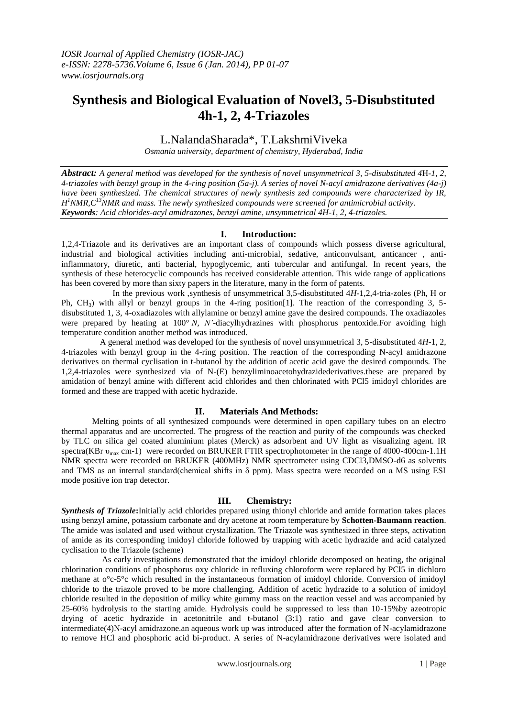# **Synthesis and Biological Evaluation of Novel3, 5-Disubstituted 4h-1, 2, 4-Triazoles**

## L.NalandaSharada\*, T.LakshmiViveka

*Osmania university, department of chemistry, Hyderabad, India*

*Abstract: A general method was developed for the synthesis of novel unsymmetrical 3, 5-disubstituted 4*H*-1, 2, 4-triazoles with benzyl group in the 4-ring position (5a-j). A series of novel N-acyl amidrazone derivatives (4a-j) have been synthesized. The chemical structures of newly synthesis zed compounds were characterized by IR, H <sup>1</sup>NMR,C<sup>13</sup>NMR and mass. The newly synthesized compounds were screened for antimicrobial activity. Keywords: Acid chlorides-acyl amidrazones, benzyl amine, unsymmetrical 4H-1, 2, 4-triazoles.*

## **I. Introduction:**

1,2,4-Triazole and its derivatives are an important class of compounds which possess diverse agricultural, industrial and biological activities including anti-microbial, sedative, anticonvulsant, anticancer , antiinflammatory, diuretic, anti bacterial, hypoglycemic, anti tubercular and antifungal. In recent years, the synthesis of these heterocyclic compounds has received considerable attention. This wide range of applications has been covered by more than sixty papers in the literature, many in the form of patents.

 In the previous work ,synthesis of unsymmetrical 3,5-disubstituted 4*H*-1,2,4-tria-zoles (Ph, H or Ph,  $CH<sub>3</sub>$ ) with allyl or benzyl groups in the 4-ring position[1]. The reaction of the corresponding 3, 5disubstituted 1, 3, 4-oxadiazoles with allylamine or benzyl amine gave the desired compounds. The oxadiazoles were prepared by heating at 100° *N, N'*-diacylhydrazines with phosphorus pentoxide.For avoiding high temperature condition another method was introduced.

 A general method was developed for the synthesis of novel unsymmetrical 3, 5-disubstituted 4*H*-1, 2, 4-triazoles with benzyl group in the 4-ring position. The reaction of the corresponding N-acyl amidrazone derivatives on thermal cyclisation in t-butanol by the addition of acetic acid gave the desired compounds. The 1,2,4-triazoles were synthesized via of N-(E) benzyliminoacetohydrazidederivatives.these are prepared by amidation of benzyl amine with different acid chlorides and then chlorinated with PCl5 imidoyl chlorides are formed and these are trapped with acetic hydrazide.

## **II. Materials And Methods:**

Melting points of all synthesized compounds were determined in open capillary tubes on an electro thermal apparatus and are uncorrected. The progress of the reaction and purity of the compounds was checked by TLC on silica gel coated aluminium plates (Merck) as adsorbent and UV light as visualizing agent. IR spectra(KBr υ<sub>max</sub> cm-1) were recorded on BRUKER FTIR spectrophotometer in the range of 4000-400cm-1.1H NMR spectra were recorded on BRUKER (400MHz) NMR spectrometer using CDCl3,DMSO-d6 as solvents and TMS as an internal standard(chemical shifts in  $\delta$  ppm). Mass spectra were recorded on a MS using ESI mode positive ion trap detector.

## **III. Chemistry:**

*Synthesis of Triazole***:**Initially acid chlorides prepared using thionyl chloride and amide formation takes places using benzyl amine, potassium carbonate and dry acetone at room temperature by **Schotten-Baumann reaction**. The amide was isolated and used without crystallization. The Triazole was synthesized in three steps, activation of amide as its corresponding imidoyl chloride followed by trapping with acetic hydrazide and acid catalyzed cyclisation to the Triazole (scheme)

 As early investigations demonstrated that the imidoyl chloride decomposed on heating, the original chlorination conditions of phosphorus oxy chloride in refluxing chloroform were replaced by PCl5 in dichloro methane at o°c-5°c which resulted in the instantaneous formation of imidoyl chloride. Conversion of imidoyl chloride to the triazole proved to be more challenging. Addition of acetic hydrazide to a solution of imidoyl chloride resulted in the deposition of milky white gummy mass on the reaction vessel and was accompanied by 25-60% hydrolysis to the starting amide. Hydrolysis could be suppressed to less than 10-15%by azeotropic drying of acetic hydrazide in acetonitrile and t-butanol (3:1) ratio and gave clear conversion to intermediate(4)N-acyl amidrazone.an aqueous work up was introduced after the formation of N-acylamidrazone to remove HCl and phosphoric acid bi-product. A series of N-acylamidrazone derivatives were isolated and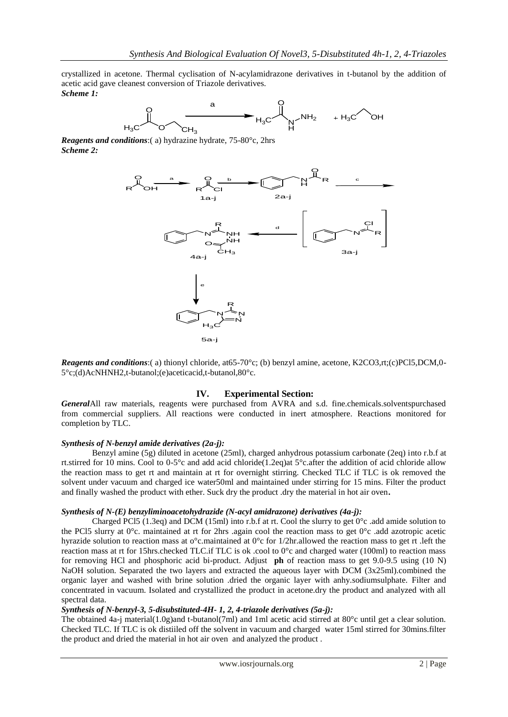crystallized in acetone. Thermal cyclisation of N-acylamidrazone derivatives in t-butanol by the addition of acetic acid gave cleanest conversion of Triazole derivatives. *Scheme 1:*



*Reagents and conditions*:( a) hydrazine hydrate, 75-80°c, 2hrs *Scheme 2:*



*Reagents and conditions*:( a) thionyl chloride, at65-70°c; (b) benzyl amine, acetone, K2CO3,rt;(c)PCl5,DCM,0-5°c;(d)AcNHNH2,t-butanol;(e)aceticacid,t-butanol,80°c.

## **IV. Experimental Section:**

*General*All raw materials, reagents were purchased from AVRA and s.d. fine.chemicals.solventspurchased from commercial suppliers. All reactions were conducted in inert atmosphere. Reactions monitored for completion by TLC.

#### *Synthesis of N-benzyl amide derivatives (2a-j):*

Benzyl amine (5g) diluted in acetone (25ml), charged anhydrous potassium carbonate (2eq) into r.b.f at rt.stirred for 10 mins. Cool to 0-5°c and add acid chloride(1.2eq)at 5°c.after the addition of acid chloride allow the reaction mass to get rt and maintain at rt for overnight stirring. Checked TLC if TLC is ok removed the solvent under vacuum and charged ice water50ml and maintained under stirring for 15 mins. Filter the product and finally washed the product with ether. Suck dry the product .dry the material in hot air oven**.**

#### *Synthesis of N-(E) benzyliminoacetohydrazide (N-acyl amidrazone) derivatives (4a-j):*

Charged PCl5 (1.3eq) and DCM (15ml) into r.b.f at rt. Cool the slurry to get  $0^{\circ}$ c .add amide solution to the PCl5 slurry at 0°c. maintained at rt for 2hrs .again cool the reaction mass to get 0°c .add azotropic acetic hyrazide solution to reaction mass at o°c.maintained at 0°c for 1/2hr.allowed the reaction mass to get rt .left the reaction mass at rt for 15hrs.checked TLC.if TLC is ok .cool to 0°c and charged water (100ml) to reaction mass for removing HCl and phosphoric acid bi-product. Adjust **ph** of reaction mass to get 9.0-9.5 using (10 N) NaOH solution. Separated the two layers and extracted the aqueous layer with DCM (3x25ml).combined the organic layer and washed with brine solution .dried the organic layer with anhy.sodiumsulphate. Filter and concentrated in vacuum. Isolated and crystallized the product in acetone.dry the product and analyzed with all spectral data.

## *Synthesis of N-benzyl-3, 5-disubstituted-4H- 1, 2, 4-triazole derivatives (5a-j):*

The obtained 4a-j material(1.0g)and t-butanol(7ml) and 1ml acetic acid stirred at 80°c until get a clear solution. Checked TLC. If TLC is ok distiiled off the solvent in vacuum and charged water 15ml stirred for 30mins.filter the product and dried the material in hot air oven and analyzed the product .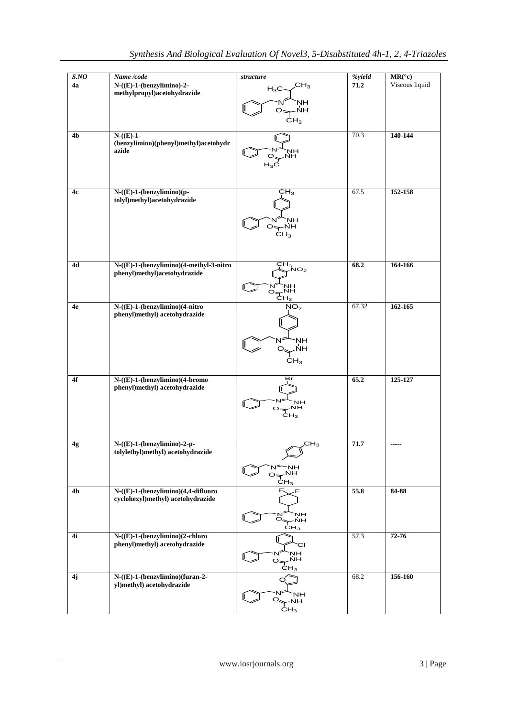| SNO            | Name /code                                     | structure                                | %yield | $MR({}^{\circ}c)$ |
|----------------|------------------------------------------------|------------------------------------------|--------|-------------------|
| 4a             | $N-(E)-1-(benzylimino)-2-$                     | CH <sub>3</sub>                          | 71.2   | Viscous liquid    |
|                | methylpropyl)acetohydrazide                    | $H_3C$                                   |        |                   |
|                |                                                | <b>NH</b><br>N                           |        |                   |
|                |                                                | NH.<br>O <sub>5</sub>                    |        |                   |
|                |                                                | $\dot{\text{CH}}_3$                      |        |                   |
|                |                                                |                                          |        |                   |
| 4b             | $N-(E)-1-$                                     |                                          | 70.3   | 140-144           |
|                | (benzylimino)(phenyl)methyl)acetohydr<br>azide | ٦Н                                       |        |                   |
|                |                                                | ŃН                                       |        |                   |
|                |                                                | $H_3C$                                   |        |                   |
|                |                                                |                                          |        |                   |
|                |                                                |                                          |        |                   |
| 4c             | $N-((E)-1-(benzylimino)(p-$                    | CH <sub>3</sub>                          | 67.5   | 152-158           |
|                | tolyl)methyl)acetohydrazide                    |                                          |        |                   |
|                |                                                |                                          |        |                   |
|                |                                                | <b>NH</b>                                |        |                   |
|                |                                                | $O \rightarrow NH$                       |        |                   |
|                |                                                | CH <sub>3</sub>                          |        |                   |
|                |                                                |                                          |        |                   |
|                |                                                |                                          |        |                   |
| 4d             | N-((E)-1-(benzylimino)(4-methyl-3-nitro        | $\overline{CH}_{3NO_{2}}$                | 68.2   | 164-166           |
|                | phenyl)methyl)acetohydrazide                   |                                          |        |                   |
|                |                                                |                                          |        |                   |
|                |                                                | $O + N + N$                              |        |                   |
| 4e             | $N-(E)-1-(benzylimino)(4-nitro)$               | NO <sub>2</sub>                          | 67.32  | 162-165           |
|                | phenyl)methyl) acetohydrazide                  |                                          |        |                   |
|                |                                                |                                          |        |                   |
|                |                                                |                                          |        |                   |
|                |                                                | NΗ<br>N                                  |        |                   |
|                |                                                | ,ŃH<br>O.                                |        |                   |
|                |                                                | CH <sub>3</sub>                          |        |                   |
|                |                                                |                                          |        |                   |
| 4f             | N-((E)-1-(benzylimino)(4-bromo                 | Br                                       | 65.2   | 125-127           |
|                | phenyl)methyl) acetohydrazide                  |                                          |        |                   |
|                |                                                | <b>NH</b>                                |        |                   |
|                |                                                | $O \rightarrow NH$                       |        |                   |
|                |                                                | $\dot{\text{c}}$ H <sub>3</sub>          |        |                   |
|                |                                                |                                          |        |                   |
|                |                                                |                                          |        |                   |
| 4g             | $N-((E)-1-(benzylimino)-2-p-$                  | $\overline{\text{CH}_3}$                 | 71.7   | -----             |
|                | tolylethyl)methyl) acetohydrazide              |                                          |        |                   |
|                |                                                | <b>NH</b>                                |        |                   |
|                |                                                | $O \Leftrightarrow NH$                   |        |                   |
|                |                                                | CH <sub>3</sub>                          |        |                   |
| 4 <sub>h</sub> | N-((E)-1-(benzylimino)(4,4-difluoro            | F.<br>F                                  | 55.8   | 84-88             |
|                | cyclohexyl)methyl) acetohydrazide              |                                          |        |                   |
|                |                                                | NH                                       |        |                   |
|                |                                                | $\overset{\cdot N}{\circ}_{\leq}$<br>–ŃH |        |                   |
|                |                                                | CH <sub>3</sub>                          |        |                   |
| 4i             | N-((E)-1-(benzylimino)(2-chloro                |                                          | 57.3   | 72-76             |
|                | phenyl)methyl) acetohydrazide                  | СI                                       |        |                   |
|                |                                                | <b>NH</b><br>$O \Rightarrow NH$          |        |                   |
|                |                                                | CH <sub>3</sub>                          |        |                   |
| 4j             | N-((E)-1-(benzylimino)(furan-2-                | O                                        | 68.2   | 156-160           |
|                | yl)methyl) acetohydrazide                      |                                          |        |                   |
|                |                                                | NH                                       |        |                   |
|                |                                                | $O_{\leftarrow}$ NH                      |        |                   |
|                |                                                | CH <sub>3</sub>                          |        |                   |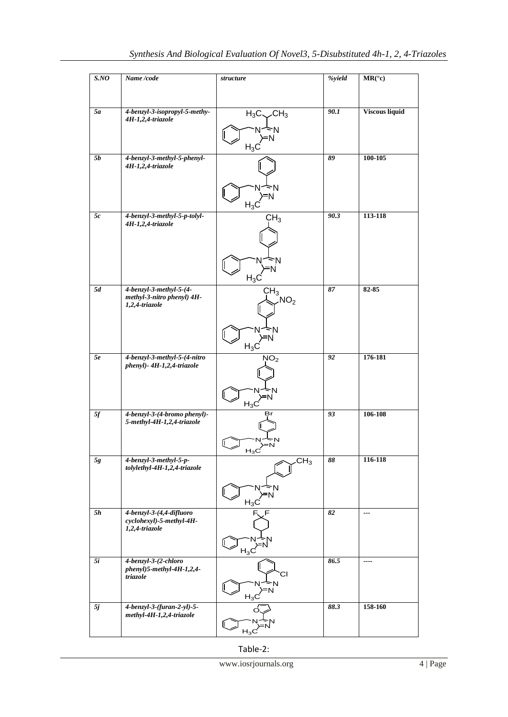| SNO             | Name /code                                                      | structure                 | %yield          | $MR({}^{\circ}c)$     |
|-----------------|-----------------------------------------------------------------|---------------------------|-----------------|-----------------------|
|                 |                                                                 |                           |                 |                       |
| 5a              | 4-benzyl-3-isopropyl-5-methy-<br>4H-1,2,4-triazole              | $H_3C \sim CH_3$          | 90.1            | <b>Viscous liquid</b> |
|                 |                                                                 | =N                        |                 |                       |
|                 |                                                                 | $H_3C$                    |                 |                       |
| <b>5b</b>       | 4-benzyl-3-methyl-5-phenyl-<br>4H-1,2,4-triazole                |                           | 89              | 100-105               |
|                 |                                                                 | 'N                        |                 |                       |
|                 |                                                                 | $H_3C$                    |                 |                       |
| 5c              | 4-benzyl-3-methyl-5-p-tolyl-<br>4H-1,2,4-triazole               | CH <sub>3</sub>           | 90.3            | 113-118               |
|                 |                                                                 |                           |                 |                       |
|                 |                                                                 | ٠N                        |                 |                       |
|                 |                                                                 |                           |                 |                       |
| $\overline{5d}$ | 4-benzyl-3-methyl-5-(4-                                         | $H_3C$<br>CH <sub>3</sub> | $\overline{87}$ | $82 - 85$             |
|                 | methyl-3-nitro phenyl) 4H-<br>1,2,4-triazole                    | NO <sub>2</sub>           |                 |                       |
|                 |                                                                 |                           |                 |                       |
|                 |                                                                 | N<br>'N<br>$H_3C$         |                 |                       |
| 5e              | 4-benzyl-3-methyl-5-(4-nitro                                    | NO <sub>2</sub>           | 92              | 176-181               |
|                 | phenyl)- 4H-1,2,4-triazole                                      |                           |                 |                       |
|                 |                                                                 |                           |                 |                       |
| $5f$            | 4-benzyl-3-(4-bromo phenyl)-                                    | $H_3C$<br>Br              | 93              | 106-108               |
|                 | 5-methyl-4H-1,2,4-triazole                                      |                           |                 |                       |
|                 |                                                                 |                           |                 |                       |
| $5g\,$          | 4-benzyl-3-methyl-5-p-<br>tolylethyl-4H-1,2,4-triazole          | CH <sub>3</sub>           | 88              | 116-118               |
|                 |                                                                 |                           |                 |                       |
|                 |                                                                 | $H_3C$                    |                 |                       |
| <b>5h</b>       | 4-benzyl-3-(4,4-difluoro                                        | F.<br>F                   | 82              | ---                   |
|                 | cyclohexyl)-5-methyl-4H-<br>1,2,4-triazole                      |                           |                 |                       |
|                 |                                                                 | $H_3C$                    |                 |                       |
| 5i              | 4-benzyl-3-(2-chloro<br>phenyl)5-methyl-4H-1,2,4-               |                           | 86.5            | ----                  |
|                 | triazole                                                        | СI<br>Ń                   |                 |                       |
|                 |                                                                 | ≻N<br>$H_3C$              |                 |                       |
| 5j              | $4\text{-}benzyl-3-(furan-2-yl)-5-$<br>methyl-4H-1,2,4-triazole | O                         | 88.3            | 158-160               |
|                 |                                                                 | $H_3C$                    |                 |                       |

Table-2: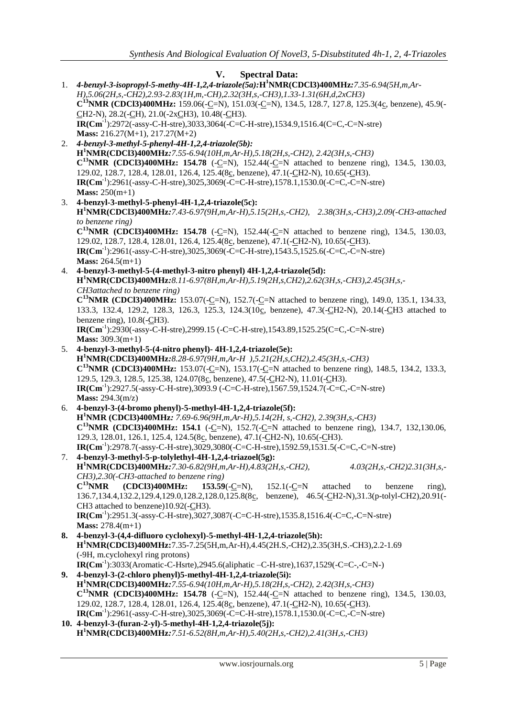|    | <b>Spectral Data:</b><br>V.                                                                                                                                                                                                      |  |  |  |  |
|----|----------------------------------------------------------------------------------------------------------------------------------------------------------------------------------------------------------------------------------|--|--|--|--|
| 1. | 4-benzyl-3-isopropyl-5-methy-4H-1,2,4-triazole(5a):H <sup>1</sup> NMR(CDCl3)400MHz:7.35-6.94(5H,m,Ar-                                                                                                                            |  |  |  |  |
|    | $H$ ), 5.06(2H, s, -CH2), 2.93-2.83(1H, m, -CH), 2.32(3H, s, -CH3), 1.33-1.31(6H, d, 2xCH3)                                                                                                                                      |  |  |  |  |
|    | $C^{13}NMR$ (CDCl3)400MHz: 159.06(-C=N), 151.03(-C=N), 134.5, 128.7, 127.8, 125.3(4c, benzene), 45.9(-                                                                                                                           |  |  |  |  |
|    | $CH2-N$ , 28.2( $-CH$ ), 21.0( $-2xCH3$ ), 10.48( $-CH3$ ).<br>$IR(Cm^{-1})$ :2972(-assy-C-H-stre),3033,3064(-C=C-H-stre),1534.9,1516.4(C=C,-C=N-stre)                                                                           |  |  |  |  |
|    | Mass: $216.27(M+1)$ , $217.27(M+2)$                                                                                                                                                                                              |  |  |  |  |
| 2. | 4-benzyl-3-methyl-5-phenyl-4H-1,2,4-triazole(5b):                                                                                                                                                                                |  |  |  |  |
|    | H <sup>1</sup> NMR(CDCl3)400MHz:7.55-6.94(10H,m,Ar-H),5.18(2H,s,-CH2), 2.42(3H,s,-CH3)                                                                                                                                           |  |  |  |  |
|    | $C^{13}NMR$ (CDCl3)400MHz: 154.78 (-C=N), 152.44(-C=N attached to benzene ring), 134.5, 130.03,                                                                                                                                  |  |  |  |  |
|    | 129.02, 128.7, 128.4, 128.01, 126.4, 125.4(8c, benzene), 47.1(-CH2-N), 10.65(-CH3).                                                                                                                                              |  |  |  |  |
|    | $IR(Cm^{-1})$ :2961(-assy-C-H-stre),3025,3069(-C=C-H-stre),1578.1,1530.0(-C=C,-C=N-stre)                                                                                                                                         |  |  |  |  |
|    | <b>Mass:</b> $250(m+1)$                                                                                                                                                                                                          |  |  |  |  |
| 3. | 4-benzyl-3-methyl-5-phenyl-4H-1,2,4-triazole(5c):                                                                                                                                                                                |  |  |  |  |
|    | $H^1NMR(CDCI3)400MHz$ : 7.43-6.97(9H, m, Ar-H), 5.15(2H, s, -CH2), 2.38(3H, s, -CH3), 2.09(-CH3-attached                                                                                                                         |  |  |  |  |
|    | to benzene ring)<br>$C^{13}NMR$ (CDCl3)400MHz: 154.78 (-C=N), 152.44(-C=N attached to benzene ring), 134.5, 130.03,                                                                                                              |  |  |  |  |
|    | 129.02, 128.7, 128.4, 128.01, 126.4, 125.4(8c, benzene), 47.1(-CH2-N), 10.65(-CH3).                                                                                                                                              |  |  |  |  |
|    | $IR(Cm^{-1})$ :2961(-assy-C-H-stre),3025,3069(-C=C-H-stre),1543.5,1525.6(-C=C,-C=N-stre)                                                                                                                                         |  |  |  |  |
|    | <b>Mass:</b> $264.5(m+1)$                                                                                                                                                                                                        |  |  |  |  |
| 4. | 4-benzyl-3-methyl-5-(4-methyl-3-nitro phenyl) 4H-1,2,4-triazole(5d):                                                                                                                                                             |  |  |  |  |
|    | $H^1NMR(CDC13)400MHz$ : 8.11-6.97(8H,m,Ar-H),5.19(2H,s,CH2),2.62(3H,s,-CH3),2.45(3H,s,-                                                                                                                                          |  |  |  |  |
|    | CH3 attached to benzene ring)                                                                                                                                                                                                    |  |  |  |  |
|    | C <sup>13</sup> NMR (CDCl3)400MHz: 153.07(-C=N), 152.7(-C=N attached to benzene ring), 149.0, 135.1, 134.33,<br>133.3, 132.4, 129.2, 128.3, 126.3, 125.3, 124.3(10 <sub>C</sub> , benzene), 47.3(-CH2-N), 20.14(-CH3 attached to |  |  |  |  |
|    | benzene ring), $10.8(-CH3)$ .                                                                                                                                                                                                    |  |  |  |  |
|    | $IR(Cm^{-1})$ :2930(-assy-C-H-stre),2999.15 (-C=C-H-stre),1543.89,1525.25(C=C,-C=N-stre)                                                                                                                                         |  |  |  |  |
|    | Mass: $309.3(m+1)$                                                                                                                                                                                                               |  |  |  |  |
| 5. | 4-benzyl-3-methyl-5-(4-nitro phenyl)- 4H-1,2,4-triazole(5e):                                                                                                                                                                     |  |  |  |  |
|    | $H^1NMR(CDCI3)400MHz$ : 8.28-6.97(9H, m, Ar-H ), 5.21(2H, s, CH2), 2.45(3H, s, -CH3)                                                                                                                                             |  |  |  |  |
|    | $C^{13}NMR$ (CDCl3)400MHz: 153.07(-C=N), 153.17(-C=N attached to benzene ring), 148.5, 134.2, 133.3,                                                                                                                             |  |  |  |  |
|    | 129.5, 129.3, 128.5, 125.38, 124.07(8c, benzene), 47.5(-CH2-N), 11.01(-CH3).<br>$IR(Cm^{-1})$ :2927.5(-assy-C-H-stre),3093.9 (-C=C-H-stre),1567.59,1524.7(-C=C,-C=N-stre)                                                        |  |  |  |  |
|    | <b>Mass:</b> 294.3 $(m/z)$                                                                                                                                                                                                       |  |  |  |  |
| 6. | 4-benzyl-3-(4-bromo phenyl)-5-methyl-4H-1,2,4-triazole(5f):                                                                                                                                                                      |  |  |  |  |
|    | H <sup>1</sup> NMR (CDCl3)400MHz: 7.69-6.96(9H,m,Ar-H),5.14(2H, s,-CH2), 2.39(3H,s,-CH3)                                                                                                                                         |  |  |  |  |
|    | C <sup>13</sup> NMR (CDCl3)400MHz: 154.1 (-C=N), 152.7(-C=N attached to benzene ring), 134.7, 132,130.06,                                                                                                                        |  |  |  |  |
|    | 129.3, 128.01, 126.1, 125.4, 124.5(8c, benzene), 47.1(-CH2-N), 10.65(-CH3).                                                                                                                                                      |  |  |  |  |
|    | $IR(Cm-1):2978.7(-assy-C-H-step.)3029,3080(-C=C-H-step.)1592.59,1531.5(-C=C, -C=N-stre)$                                                                                                                                         |  |  |  |  |
| 7. | 4-benzyl-3-methyl-5-p-tolylethyl-4H-1,2,4-triazoel(5g):<br>$H^1NMR(CDC13)400MHz$ : 7.30-6.82(9H,m,Ar-H),4.83(2H,s,-CH2),<br>$4.03(2H,s,-CH2)2.31(3H,s,-$                                                                         |  |  |  |  |
|    | CH3),2.30(-CH3-attached to benzene ring)                                                                                                                                                                                         |  |  |  |  |
|    | $C^{13}NMR$<br>(CDCl3)400MHz:<br>$153.59(-C=N)$ ,<br>$152.1(-C=N$<br>attached<br>benzene<br>to<br>ring),                                                                                                                         |  |  |  |  |
|    | 136.7, 134.4, 132.2, 129.4, 129.0, 128.2, 128.0, 125.8(8c,<br>benzene), $46.5(-CH2-N), 31.3(p-tolyl-CH2), 20.91(-$                                                                                                               |  |  |  |  |
|    | CH3 attached to benzene)10.92(-CH3).                                                                                                                                                                                             |  |  |  |  |
|    | $IR(Cm^{-1})$ :2951.3(-assy-C-H-stre),3027,3087(-C=C-H-stre),1535.8,1516.4(-C=C,-C=N-stre)                                                                                                                                       |  |  |  |  |
|    | Mass: $278.4(m+1)$                                                                                                                                                                                                               |  |  |  |  |
| 8. | 4-benzyl-3-(4,4-difluoro cyclohexyl)-5-methyl-4H-1,2,4-triazole(5h):                                                                                                                                                             |  |  |  |  |
|    | H <sup>1</sup> NMR(CDCl3)400MHz:7.35-7.25(5H,m,Ar-H),4.45(2H.S,-CH2),2.35(3H,S.-CH3),2.2-1.69<br>(-9H, m.cyclohexyl ring protons)                                                                                                |  |  |  |  |
|    | $IR(Cm^{-1})$ :3033(Aromatic-C-Hsrte),2945.6(aliphatic-C-H-stre),1637,1529(-C=C-,-C=N-)                                                                                                                                          |  |  |  |  |
| 9. | 4-benzyl-3-(2-chloro phenyl)5-methyl-4H-1,2,4-triazole(5i):                                                                                                                                                                      |  |  |  |  |
|    | $H^1NMR(CDC13)400MHz$ : 7.55-6.94(10H,m,Ar-H),5.18(2H,s,-CH2), 2.42(3H,s,-CH3)                                                                                                                                                   |  |  |  |  |
|    | $C^{13}NMR$ (CDCl3)400MHz: 154.78 (-C=N), 152.44(-C=N attached to benzene ring), 134.5, 130.03,                                                                                                                                  |  |  |  |  |
|    | 129.02, 128.7, 128.4, 128.01, 126.4, 125.4(8c, benzene), 47.1(-CH2-N), 10.65(-CH3).                                                                                                                                              |  |  |  |  |
|    | $IR(Cm^{-1}):2961(-assy-C-H-stre),3025,3069(-C=C-H-stre),1578.1,1530.0(-C=C, -C=N-stre)$                                                                                                                                         |  |  |  |  |
|    | 10. 4-benzyl-3-(furan-2-yl)-5-methyl-4H-1,2,4-triazole(5j):<br>$H^1NMR(CDC13)400MHz$ : 7.51-6.52(8H, m, Ar-H), 5.40(2H, s, -CH2), 2.41(3H, s, -CH3)                                                                              |  |  |  |  |
|    |                                                                                                                                                                                                                                  |  |  |  |  |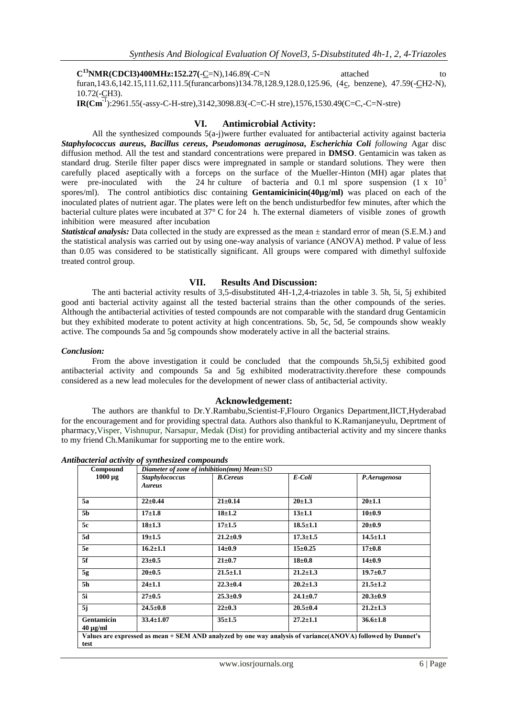**C<sup>13</sup>NMR(CDCl3)400MHz:152.27(-C=N),146.89(-C=N** attached to to

furan,143.6,142.15,111.62,111.5(furancarbons)134.78,128.9,128.0,125.96, (4c, benzene), 47.59(-CH2-N), 10.72(-CH3).

**IR(Cm-**<sup>1</sup> ):2961.55(-assy-C-H-stre),3142,3098.83(-C=C-H stre),1576,1530.49(C=C,-C=N-stre)

#### **VI. Antimicrobial Activity:**

All the synthesized compounds  $5(a-i)$  were further evaluated for antibacterial activity against bacteria *Staphylococcus aureus***,** *Bacillus cereus***,** *Pseudomonas aeruginosa***,** *Escherichia Coli following* Agar disc diffusion method. All the test and standard concentrations were prepared in **DMSO**. Gentamicin was taken as standard drug. Sterile filter paper discs were impregnated in sample or standard solutions. They were then carefully placed aseptically with a forceps on the surface of the Mueller-Hinton (MH) agar plates that were pre-inoculated with the 24 hr culture of bacteria and 0.1 ml spore suspension  $(1 \times 10^5$ the 24 hr culture of bacteria and 0.1 ml spore suspension  $(1 \times 10^5$ spores/ml). The control antibiotics disc containing **Gentamicinicin(40µg/ml)** was placed on each of the inoculated plates of nutrient agar. The plates were left on the bench undisturbedfor few minutes, after which the bacterial culture plates were incubated at 37° C for 24 h. The external diameters of visible zones of growth inhibition were measured after incubation

*Statistical analysis:* Data collected in the study are expressed as the mean  $\pm$  standard error of mean (S.E.M.) and the statistical analysis was carried out by using one-way analysis of variance (ANOVA) method. P value of less than 0.05 was considered to be statistically significant. All groups were compared with dimethyl sulfoxide treated control group.

#### **VII. Results And Discussion:**

The anti bacterial activity results of 3,5-disubstituted 4H-1,2,4-triazoles in table 3. 5h, 5i, 5j exhibited good anti bacterial activity against all the tested bacterial strains than the other compounds of the series. Although the antibacterial activities of tested compounds are not comparable with the standard drug Gentamicin but they exhibited moderate to potent activity at high concentrations. 5b, 5c, 5d, 5e compounds show weakly active. The compounds 5a and 5g compounds show moderately active in all the bacterial strains.

#### *Conclusion:*

From the above investigation it could be concluded that the compounds 5h,5i,5j exhibited good antibacterial activity and compounds 5a and 5g exhibited moderatractivity.therefore these compounds considered as a new lead molecules for the development of newer class of antibacterial activity.

#### **Acknowledgement:**

The authors are thankful to Dr.Y.Rambabu,Scientist-F,Flouro Organics Department,IICT,Hyderabad for the encouragement and for providing spectral data. Authors also thankful to K.Ramanjaneyulu, Deprtment of pharmacy,Visper, Vishnupur, Narsapur, Medak (Dist) for providing antibacterial activity and my sincere thanks to my friend Ch.Manikumar for supporting me to the entire work.

*Antibacterial activity of synthesized compounds*

| Compound                                                                                                            | Diameter of zone of inhibition(mm) Mean $\pm$ SD |                 |                |                |  |  |
|---------------------------------------------------------------------------------------------------------------------|--------------------------------------------------|-----------------|----------------|----------------|--|--|
| $1000 \mu g$                                                                                                        | <b>Staphylococcus</b><br><b>Aureus</b>           | <b>B.Cereus</b> | E-Coli         | P.Aerugenosa   |  |  |
| 5a                                                                                                                  | $22 \pm 0.44$                                    | $21 \pm 0.14$   | $20 \pm 1.3$   | $20+1.1$       |  |  |
| 5b                                                                                                                  | $17 + 1.8$                                       | $18 + 1.2$      | $13 + 1.1$     | $10\pm0.9$     |  |  |
| 5с                                                                                                                  | $18 + 1.3$                                       | $17 + 1.5$      | $18.5 \pm 1.1$ | $20 \pm 0.9$   |  |  |
| 5d                                                                                                                  | $19 + 1.5$                                       | $21.2 \pm 0.9$  | $17.3 \pm 1.5$ | $14.5 \pm 1.1$ |  |  |
| 5e                                                                                                                  | $16.2 \pm 1.1$                                   | $14 \pm 0.9$    | $15 \pm 0.25$  | $17 + 0.8$     |  |  |
| 5f                                                                                                                  | $23 \pm 0.5$                                     | $21 \pm 0.7$    | $18 + 0.8$     | $14\pm0.9$     |  |  |
| 5g                                                                                                                  | $20 \pm 0.5$                                     | $21.5 \pm 1.1$  | $21.2 \pm 1.3$ | $19.7 \pm 0.7$ |  |  |
| 5h                                                                                                                  | $24 \pm 1.1$                                     | $22.3 \pm 0.4$  | $20.2 \pm 1.3$ | $21.5 \pm 1.2$ |  |  |
| 5i                                                                                                                  | $27 + 0.5$                                       | $25.3 \pm 0.9$  | $24.1 \pm 0.7$ | $20.3 \pm 0.9$ |  |  |
| 5j                                                                                                                  | $24.5 \pm 0.8$                                   | $22 \pm 0.3$    | $20.5 \pm 0.4$ | $21.2 \pm 1.3$ |  |  |
| Gentamicin<br>$40 \mu g/ml$                                                                                         | $33.4 \pm 1.07$                                  | $35 + 1.5$      | $27.2 \pm 1.1$ | $36.6 \pm 1.8$ |  |  |
| Values are expressed as mean + SEM AND analyzed by one way analysis of variance(ANOVA) followed by Dunnet's<br>test |                                                  |                 |                |                |  |  |